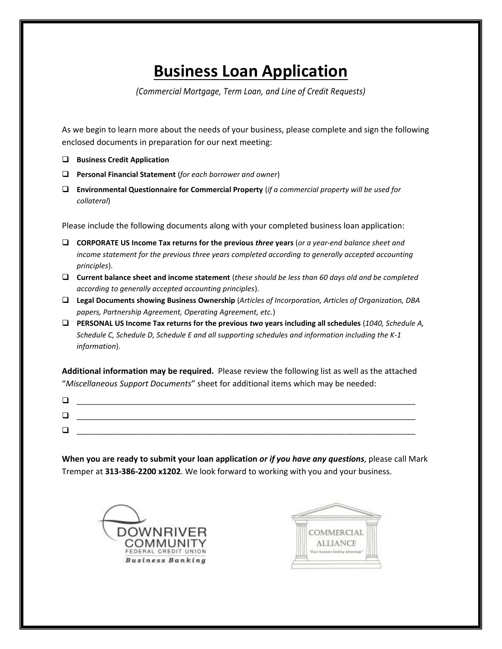# **Business Loan Application**

*(Commercial Mortgage, Term Loan, and Line of Credit Requests)*

As we begin to learn more about the needs of your business, please complete and sign the following enclosed documents in preparation for our next meeting:

- **Business Credit Application**
- **Personal Financial Statement** (*for each borrower and owner*)
- **Environmental Questionnaire for Commercial Property** (*if a commercial property will be used for collateral*)

Please include the following documents along with your completed business loan application:

- **CORPORATE US Income Tax returns for the previous** *three* **years** (*or a year-end balance sheet and income statement for the previous three years completed according to generally accepted accounting principles*).
- **Current balance sheet and income statement** (*these should be less than 60 days old and be completed according to generally accepted accounting principles*).
- **Legal Documents showing Business Ownership** (*Articles of Incorporation, Articles of Organization, DBA papers, Partnership Agreement, Operating Agreement, etc.*)
- **PERSONAL US Income Tax returns for the previous** *two* **years including all schedules** (*1040, Schedule A, Schedule C, Schedule D, Schedule E and all supporting schedules and information including the K-1 information*).

**Additional information may be required.** Please review the following list as well as the attached "*Miscellaneous Support Documents*" sheet for additional items which may be needed:

| پ   | __________<br>__________<br>______ |
|-----|------------------------------------|
| ا ب |                                    |
|     |                                    |

**When you are ready to submit your loan application** *or if you have any questions*, please call Mark Tremper at **313-386-2200 x1202**. We look forward to working with you and your business.